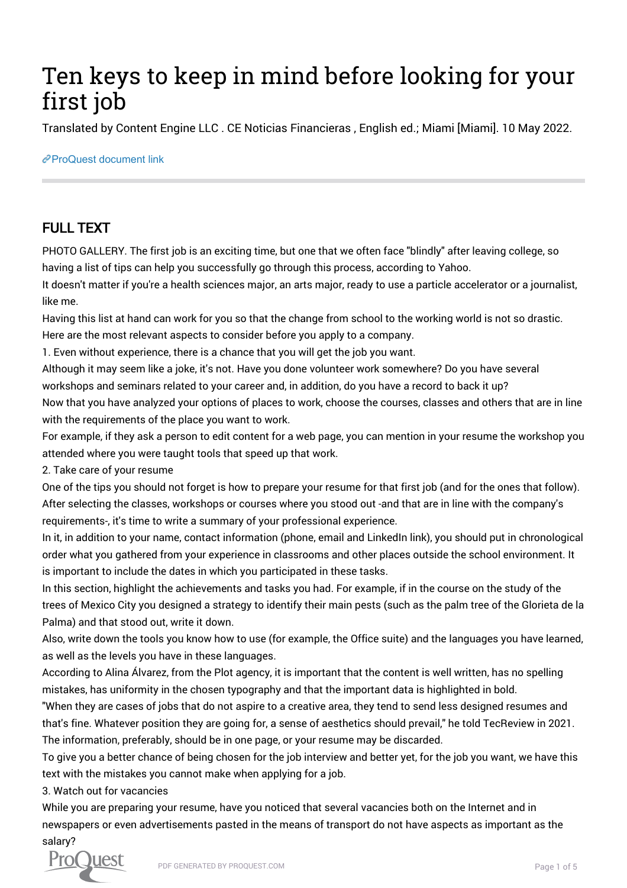## Ten keys to keep in mind before looking for your first job

Translated by Content Engine LLC . CE Noticias Financieras , English ed.; Miami [Miami]. 10 May 2022.

[ProQuest document link](https://www.proquest.com/wire-feeds/ten-keys-keep-mind-before-looking-your-first-job/docview/2662424320/se-2?accountid=44910)

## FULL TEXT

PHOTO GALLERY. The first job is an exciting time, but one that we often face "blindly" after leaving college, so having a list of tips can help you successfully go through this process, according to Yahoo.

It doesn't matter if you're a health sciences major, an arts major, ready to use a particle accelerator or a journalist, like me.

Having this list at hand can work for you so that the change from school to the working world is not so drastic. Here are the most relevant aspects to consider before you apply to a company.

1. Even without experience, there is a chance that you will get the job you want.

Although it may seem like a joke, it's not. Have you done volunteer work somewhere? Do you have several workshops and seminars related to your career and, in addition, do you have a record to back it up? Now that you have analyzed your options of places to work, choose the courses, classes and others that are in line with the requirements of the place you want to work.

For example, if they ask a person to edit content for a web page, you can mention in your resume the workshop you attended where you were taught tools that speed up that work.

2. Take care of your resume

One of the tips you should not forget is how to prepare your resume for that first job (and for the ones that follow). After selecting the classes, workshops or courses where you stood out -and that are in line with the company's requirements-, it's time to write a summary of your professional experience.

In it, in addition to your name, contact information (phone, email and LinkedIn link), you should put in chronological order what you gathered from your experience in classrooms and other places outside the school environment. It is important to include the dates in which you participated in these tasks.

In this section, highlight the achievements and tasks you had. For example, if in the course on the study of the trees of Mexico City you designed a strategy to identify their main pests (such as the palm tree of the Glorieta de la Palma) and that stood out, write it down.

Also, write down the tools you know how to use (for example, the Office suite) and the languages you have learned, as well as the levels you have in these languages.

According to Alina Álvarez, from the Plot agency, it is important that the content is well written, has no spelling mistakes, has uniformity in the chosen typography and that the important data is highlighted in bold.

"When they are cases of jobs that do not aspire to a creative area, they tend to send less designed resumes and that's fine. Whatever position they are going for, a sense of aesthetics should prevail," he told TecReview in 2021. The information, preferably, should be in one page, or your resume may be discarded.

To give you a better chance of being chosen for the job interview and better yet, for the job you want, we have this text with the mistakes you cannot make when applying for a job.

3. Watch out for vacancies

While you are preparing your resume, have you noticed that several vacancies both on the Internet and in newspapers or even advertisements pasted in the means of transport do not have aspects as important as the salary?

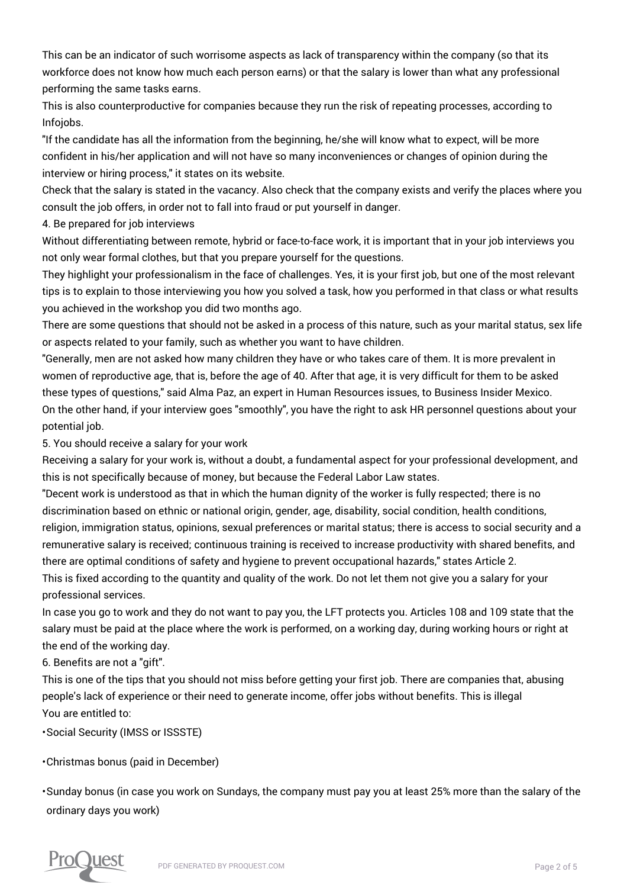This can be an indicator of such worrisome aspects as lack of transparency within the company (so that its workforce does not know how much each person earns) or that the salary is lower than what any professional performing the same tasks earns.

This is also counterproductive for companies because they run the risk of repeating processes, according to Infojobs.

"If the candidate has all the information from the beginning, he/she will know what to expect, will be more confident in his/her application and will not have so many inconveniences or changes of opinion during the interview or hiring process," it states on its website.

Check that the salary is stated in the vacancy. Also check that the company exists and verify the places where you consult the job offers, in order not to fall into fraud or put yourself in danger.

4. Be prepared for job interviews

Without differentiating between remote, hybrid or face-to-face work, it is important that in your job interviews you not only wear formal clothes, but that you prepare yourself for the questions.

They highlight your professionalism in the face of challenges. Yes, it is your first job, but one of the most relevant tips is to explain to those interviewing you how you solved a task, how you performed in that class or what results you achieved in the workshop you did two months ago.

There are some questions that should not be asked in a process of this nature, such as your marital status, sex life or aspects related to your family, such as whether you want to have children.

"Generally, men are not asked how many children they have or who takes care of them. It is more prevalent in women of reproductive age, that is, before the age of 40. After that age, it is very difficult for them to be asked these types of questions," said Alma Paz, an expert in Human Resources issues, to Business Insider Mexico. On the other hand, if your interview goes "smoothly", you have the right to ask HR personnel questions about your potential job.

5. You should receive a salary for your work

Receiving a salary for your work is, without a doubt, a fundamental aspect for your professional development, and this is not specifically because of money, but because the Federal Labor Law states.

"Decent work is understood as that in which the human dignity of the worker is fully respected; there is no discrimination based on ethnic or national origin, gender, age, disability, social condition, health conditions, religion, immigration status, opinions, sexual preferences or marital status; there is access to social security and a remunerative salary is received; continuous training is received to increase productivity with shared benefits, and there are optimal conditions of safety and hygiene to prevent occupational hazards," states Article 2.

This is fixed according to the quantity and quality of the work. Do not let them not give you a salary for your professional services.

In case you go to work and they do not want to pay you, the LFT protects you. Articles 108 and 109 state that the salary must be paid at the place where the work is performed, on a working day, during working hours or right at the end of the working day.

6. Benefits are not a "gift".

This is one of the tips that you should not miss before getting your first job. There are companies that, abusing people's lack of experience or their need to generate income, offer jobs without benefits. This is illegal You are entitled to:

• Social Security (IMSS or ISSSTE)

• Christmas bonus (paid in December)

• Sunday bonus (in case you work on Sundays, the company must pay you at least 25% more than the salary of the ordinary days you work)

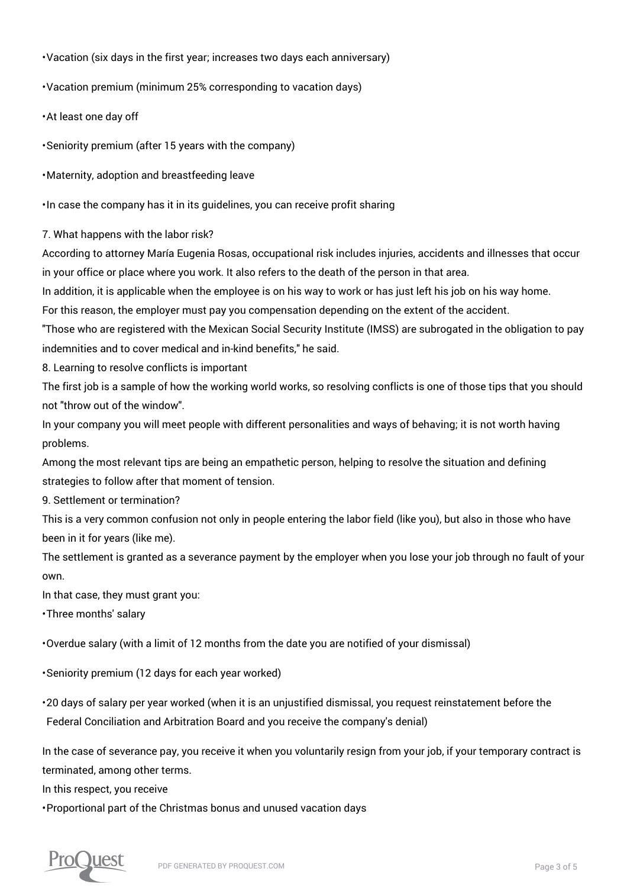• Vacation (six days in the first year; increases two days each anniversary)

• Vacation premium (minimum 25% corresponding to vacation days)

• At least one day off

• Seniority premium (after 15 years with the company)

• Maternity, adoption and breastfeeding leave

• In case the company has it in its guidelines, you can receive profit sharing

7. What happens with the labor risk?

According to attorney María Eugenia Rosas, occupational risk includes injuries, accidents and illnesses that occur in your office or place where you work. It also refers to the death of the person in that area.

In addition, it is applicable when the employee is on his way to work or has just left his job on his way home.

For this reason, the employer must pay you compensation depending on the extent of the accident.

"Those who are registered with the Mexican Social Security Institute (IMSS) are subrogated in the obligation to pay indemnities and to cover medical and in-kind benefits," he said.

8. Learning to resolve conflicts is important

The first job is a sample of how the working world works, so resolving conflicts is one of those tips that you should not "throw out of the window".

In your company you will meet people with different personalities and ways of behaving; it is not worth having problems.

Among the most relevant tips are being an empathetic person, helping to resolve the situation and defining strategies to follow after that moment of tension.

9. Settlement or termination?

This is a very common confusion not only in people entering the labor field (like you), but also in those who have been in it for years (like me).

The settlement is granted as a severance payment by the employer when you lose your job through no fault of your own.

In that case, they must grant you:

• Three months' salary

• Overdue salary (with a limit of 12 months from the date you are notified of your dismissal)

• Seniority premium (12 days for each year worked)

• 20 days of salary per year worked (when it is an unjustified dismissal, you request reinstatement before the Federal Conciliation and Arbitration Board and you receive the company's denial)

In the case of severance pay, you receive it when you voluntarily resign from your job, if your temporary contract is terminated, among other terms.

In this respect, you receive

• Proportional part of the Christmas bonus and unused vacation days

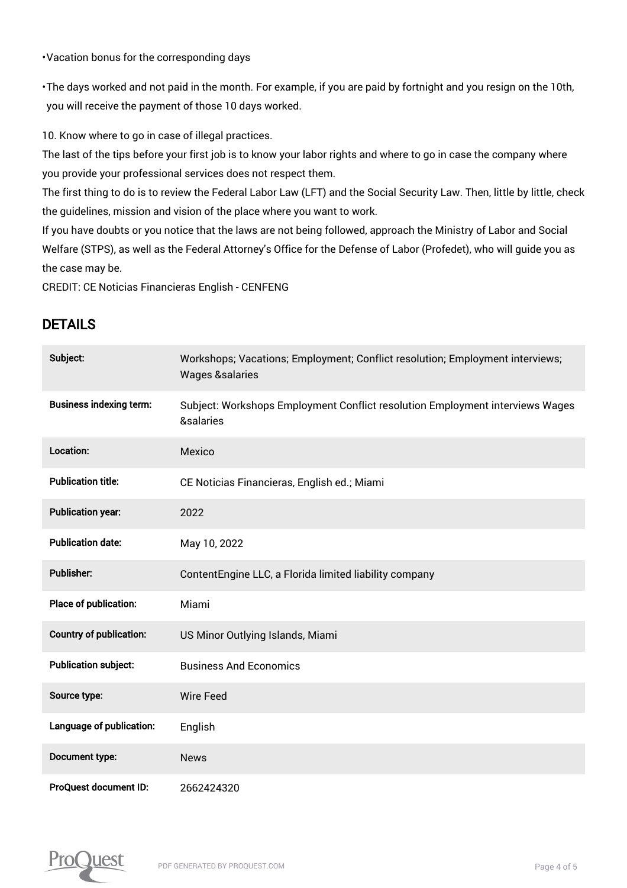• Vacation bonus for the corresponding days

• The days worked and not paid in the month. For example, if you are paid by fortnight and you resign on the 10th, you will receive the payment of those 10 days worked.

10. Know where to go in case of illegal practices.

The last of the tips before your first job is to know your labor rights and where to go in case the company where you provide your professional services does not respect them.

The first thing to do is to review the Federal Labor Law (LFT) and the Social Security Law. Then, little by little, check the guidelines, mission and vision of the place where you want to work.

If you have doubts or you notice that the laws are not being followed, approach the Ministry of Labor and Social Welfare (STPS), as well as the Federal Attorney's Office for the Defense of Labor (Profedet), who will guide you as the case may be.

CREDIT: CE Noticias Financieras English - CENFENG

## DETAILS

| Subject:                       | Workshops; Vacations; Employment; Conflict resolution; Employment interviews;<br><b>Wages &amp;salaries</b> |
|--------------------------------|-------------------------------------------------------------------------------------------------------------|
| <b>Business indexing term:</b> | Subject: Workshops Employment Conflict resolution Employment interviews Wages<br>&salaries                  |
| Location:                      | Mexico                                                                                                      |
| <b>Publication title:</b>      | CE Noticias Financieras, English ed.; Miami                                                                 |
| <b>Publication year:</b>       | 2022                                                                                                        |
| <b>Publication date:</b>       | May 10, 2022                                                                                                |
| <b>Publisher:</b>              | ContentEngine LLC, a Florida limited liability company                                                      |
| Place of publication:          | Miami                                                                                                       |
| <b>Country of publication:</b> | US Minor Outlying Islands, Miami                                                                            |
| <b>Publication subject:</b>    | <b>Business And Economics</b>                                                                               |
| Source type:                   | <b>Wire Feed</b>                                                                                            |
| Language of publication:       | English                                                                                                     |
| Document type:                 | <b>News</b>                                                                                                 |
| ProQuest document ID:          | 2662424320                                                                                                  |